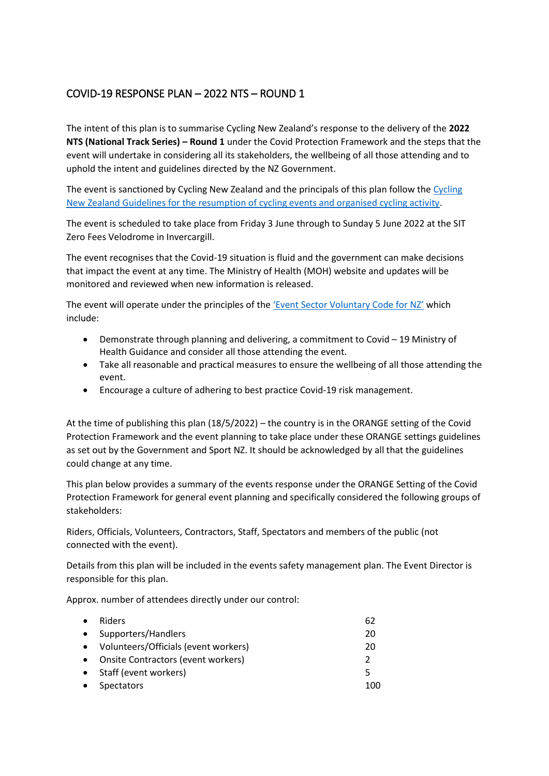# COVID-19 RESPONSE PLAN – 2022 NTS – ROUND 1

The intent of this plan is to summarise Cycling New Zealand's response to the delivery of the **2022 NTS (National Track Series) – Round 1** under the Covid Protection Framework and the steps that the event will undertake in considering all its stakeholders, the wellbeing of all those attending and to uphold the intent and guidelines directed by the NZ Government.

The event is sanctioned by Cycling New Zealand and the principals of this plan follow the [Cycling](https://www.cyclingnewzealand.nz/events-and-results/covid-19-information/)  [New Zealand Guidelines for the resumption of cycling events and organised cycling activity.](https://www.cyclingnewzealand.nz/events-and-results/covid-19-information/)

The event is scheduled to take place from Friday 3 June through to Sunday 5 June 2022 at the SIT Zero Fees Velodrome in Invercargill.

The event recognises that the Covid-19 situation is fluid and the government can make decisions that impact the event at any time. The Ministry of Health (MOH) website and updates will be monitored and reviewed when new information is released.

The event will operate under the principles of the ['Event Sector Voluntary Code for NZ'](https://www.majorevents.govt.nz/assets/Major-Events/new-zealand-event-sector-voluntary-code.pdf) which include:

- Demonstrate through planning and delivering, a commitment to Covid 19 Ministry of Health Guidance and consider all those attending the event.
- Take all reasonable and practical measures to ensure the wellbeing of all those attending the event.
- Encourage a culture of adhering to best practice Covid-19 risk management.

At the time of publishing this plan (18/5/2022) – the country is in the ORANGE setting of the Covid Protection Framework and the event planning to take place under these ORANGE settings guidelines as set out by the Government and Sport NZ. It should be acknowledged by all that the guidelines could change at any time.

This plan below provides a summary of the events response under the ORANGE Setting of the Covid Protection Framework for general event planning and specifically considered the following groups of stakeholders:

Riders, Officials, Volunteers, Contractors, Staff, Spectators and members of the public (not connected with the event).

Details from this plan will be included in the events safety management plan. The Event Director is responsible for this plan.

Approx. number of attendees directly under our control:

| $\bullet$ | Riders                                 | 62            |
|-----------|----------------------------------------|---------------|
|           | • Supporters/Handlers                  | 20            |
|           | • Volunteers/Officials (event workers) | 20            |
|           | • Onsite Contractors (event workers)   | $\mathcal{P}$ |
|           | • Staff (event workers)                | 5             |
| $\bullet$ | Spectators                             | 100           |
|           |                                        |               |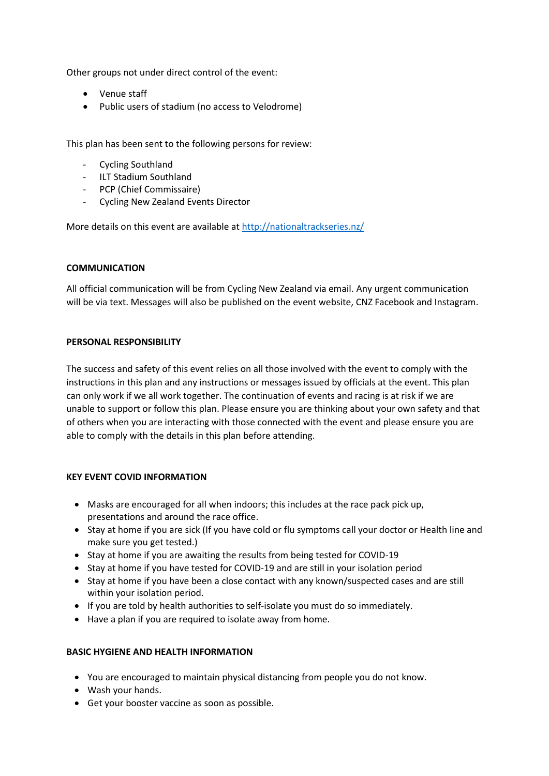Other groups not under direct control of the event:

- Venue staff
- Public users of stadium (no access to Velodrome)

This plan has been sent to the following persons for review:

- Cycling Southland
- ILT Stadium Southland
- PCP (Chief Commissaire)
- Cycling New Zealand Events Director

More details on this event are available at http://nationaltrackseries.nz/

### **COMMUNICATION**

All official communication will be from Cycling New Zealand via email. Any urgent communication will be via text. Messages will also be published on the event website, CNZ Facebook and Instagram.

### **PERSONAL RESPONSIBILITY**

The success and safety of this event relies on all those involved with the event to comply with the instructions in this plan and any instructions or messages issued by officials at the event. This plan can only work if we all work together. The continuation of events and racing is at risk if we are unable to support or follow this plan. Please ensure you are thinking about your own safety and that of others when you are interacting with those connected with the event and please ensure you are able to comply with the details in this plan before attending.

### **KEY EVENT COVID INFORMATION**

- Masks are encouraged for all when indoors; this includes at the race pack pick up, presentations and around the race office.
- Stay at home if you are sick (If you have cold or flu symptoms call your doctor or Health line and make sure you get tested.)
- Stay at home if you are awaiting the results from being tested for COVID-19
- Stay at home if you have tested for COVID-19 and are still in your isolation period
- Stay at home if you have been a close contact with any known/suspected cases and are still within your isolation period.
- If you are told by health authorities to self-isolate you must do so immediately.
- Have a plan if you are required to isolate away from home.

### **BASIC HYGIENE AND HEALTH INFORMATION**

- You are encouraged to maintain physical distancing from people you do not know.
- Wash your hands.
- Get your booster vaccine as soon as possible.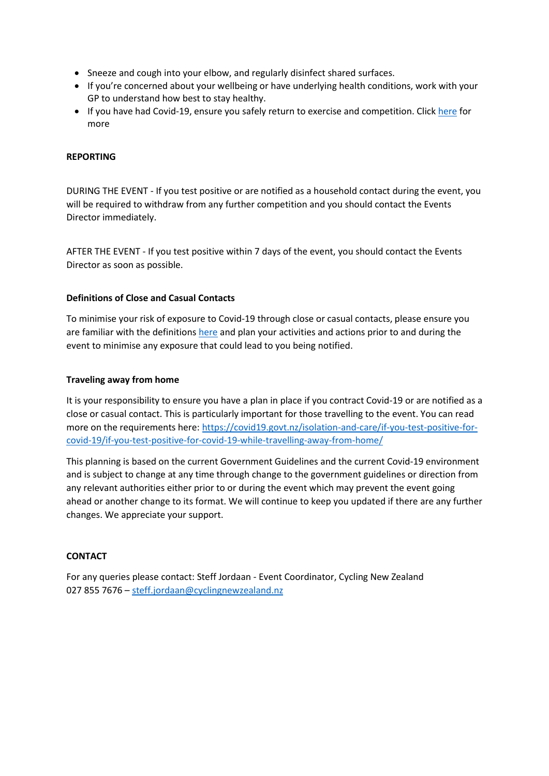- Sneeze and cough into your elbow, and regularly disinfect shared surfaces.
- If you're concerned about your wellbeing or have underlying health conditions, work with your GP to understand how best to stay healthy.
- If you have had Covid-19, ensure you safely return to exercise and competition. Click [here](https://www.healthnavigator.org.nz/health-a-z/c/covid-19-positive-exercise/#:~:text=stay%20at%20each%20phase%20for,talked%20to%20a%20healthcare%20professional.) for more

## **REPORTING**

DURING THE EVENT - If you test positive or are notified as a household contact during the event, you will be required to withdraw from any further competition and you should contact the Events Director immediately.

AFTER THE EVENT - If you test positive within 7 days of the event, you should contact the Events Director as soon as possible.

### **Definitions of Close and Casual Contacts**

To minimise your risk of exposure to Covid-19 through close or casual contacts, please ensure you are familiar with the definitions here and plan your activities and actions prior to and during the event to minimise any exposure that could lead to you being notified.

### **Traveling away from home**

It is your responsibility to ensure you have a plan in place if you contract Covid-19 or are notified as a close or casual contact. This is particularly important for those travelling to the event. You can read more on the requirements here: [https://covid19.govt.nz/isolation-and-care/if-you-test-positive-for](https://covid19.govt.nz/isolation-and-care/if-you-test-positive-for-covid-19/if-you-test-positive-for-covid-19-while-travelling-away-from-home/)[covid-19/if-you-test-positive-for-covid-19-while-travelling-away-from-home/](https://covid19.govt.nz/isolation-and-care/if-you-test-positive-for-covid-19/if-you-test-positive-for-covid-19-while-travelling-away-from-home/)

This planning is based on the current Government Guidelines and the current Covid-19 environment and is subject to change at any time through change to the government guidelines or direction from any relevant authorities either prior to or during the event which may prevent the event going ahead or another change to its format. We will continue to keep you updated if there are any further changes. We appreciate your support.

### **CONTACT**

For any queries please contact: Steff Jordaan - Event Coordinator, Cycling New Zealand 027 855 7676 – [steff.jordaan@cyclingnewzealand.nz](mailto:steff.jordaan@cyclingnewzealand.nz)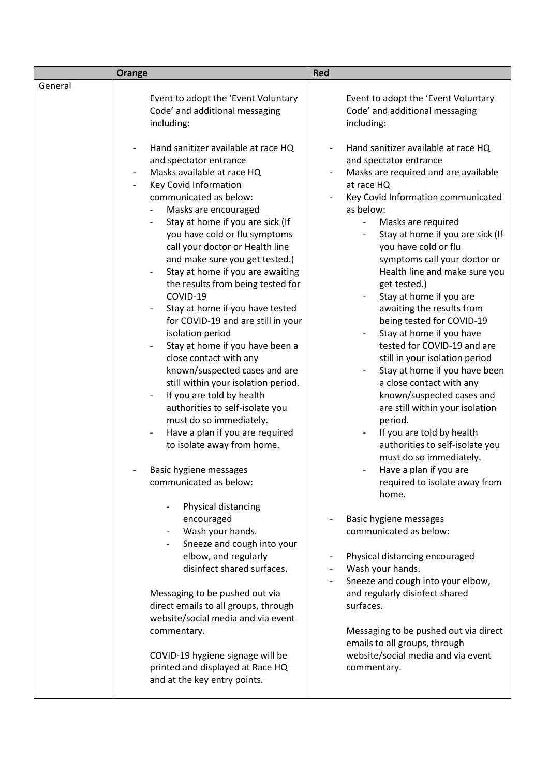|         | Orange                                                                                                                                                                                                                                                                                                                                                                                                                                                                                                                                                                                                                                                                                                                                                                                                                                                                                                                                                                 | <b>Red</b>                                                                                                                                                                                                                                                                                                                                                                                                                                                                                                                                                                                                                                                                                                                                                                                                                                                     |
|---------|------------------------------------------------------------------------------------------------------------------------------------------------------------------------------------------------------------------------------------------------------------------------------------------------------------------------------------------------------------------------------------------------------------------------------------------------------------------------------------------------------------------------------------------------------------------------------------------------------------------------------------------------------------------------------------------------------------------------------------------------------------------------------------------------------------------------------------------------------------------------------------------------------------------------------------------------------------------------|----------------------------------------------------------------------------------------------------------------------------------------------------------------------------------------------------------------------------------------------------------------------------------------------------------------------------------------------------------------------------------------------------------------------------------------------------------------------------------------------------------------------------------------------------------------------------------------------------------------------------------------------------------------------------------------------------------------------------------------------------------------------------------------------------------------------------------------------------------------|
| General |                                                                                                                                                                                                                                                                                                                                                                                                                                                                                                                                                                                                                                                                                                                                                                                                                                                                                                                                                                        |                                                                                                                                                                                                                                                                                                                                                                                                                                                                                                                                                                                                                                                                                                                                                                                                                                                                |
|         | Event to adopt the 'Event Voluntary<br>Code' and additional messaging<br>including:                                                                                                                                                                                                                                                                                                                                                                                                                                                                                                                                                                                                                                                                                                                                                                                                                                                                                    | Event to adopt the 'Event Voluntary<br>Code' and additional messaging<br>including:                                                                                                                                                                                                                                                                                                                                                                                                                                                                                                                                                                                                                                                                                                                                                                            |
|         | Hand sanitizer available at race HQ<br>and spectator entrance<br>Masks available at race HQ<br>Key Covid Information<br>communicated as below:<br>Masks are encouraged<br>$\overline{\phantom{a}}$<br>Stay at home if you are sick (If<br>you have cold or flu symptoms<br>call your doctor or Health line<br>and make sure you get tested.)<br>Stay at home if you are awaiting<br>the results from being tested for<br>COVID-19<br>Stay at home if you have tested<br>$\qquad \qquad \blacksquare$<br>for COVID-19 and are still in your<br>isolation period<br>Stay at home if you have been a<br>close contact with any<br>known/suspected cases and are<br>still within your isolation period.<br>If you are told by health<br>$\overline{\phantom{a}}$<br>authorities to self-isolate you<br>must do so immediately.<br>Have a plan if you are required<br>to isolate away from home.<br>Basic hygiene messages<br>communicated as below:<br>Physical distancing | Hand sanitizer available at race HQ<br>and spectator entrance<br>Masks are required and are available<br>at race HQ<br>Key Covid Information communicated<br>as below:<br>Masks are required<br>Stay at home if you are sick (If<br>you have cold or flu<br>symptoms call your doctor or<br>Health line and make sure you<br>get tested.)<br>Stay at home if you are<br>awaiting the results from<br>being tested for COVID-19<br>Stay at home if you have<br>tested for COVID-19 and are<br>still in your isolation period<br>Stay at home if you have been<br>$\overline{\phantom{a}}$<br>a close contact with any<br>known/suspected cases and<br>are still within your isolation<br>period.<br>If you are told by health<br>authorities to self-isolate you<br>must do so immediately.<br>Have a plan if you are<br>required to isolate away from<br>home. |
|         | encouraged<br>Wash your hands.<br>Sneeze and cough into your<br>elbow, and regularly<br>disinfect shared surfaces.<br>Messaging to be pushed out via<br>direct emails to all groups, through<br>website/social media and via event                                                                                                                                                                                                                                                                                                                                                                                                                                                                                                                                                                                                                                                                                                                                     | Basic hygiene messages<br>communicated as below:<br>Physical distancing encouraged<br>$\overline{\phantom{a}}$<br>Wash your hands.<br>Sneeze and cough into your elbow,<br>and regularly disinfect shared<br>surfaces.                                                                                                                                                                                                                                                                                                                                                                                                                                                                                                                                                                                                                                         |
|         | commentary.<br>COVID-19 hygiene signage will be<br>printed and displayed at Race HQ<br>and at the key entry points.                                                                                                                                                                                                                                                                                                                                                                                                                                                                                                                                                                                                                                                                                                                                                                                                                                                    | Messaging to be pushed out via direct<br>emails to all groups, through<br>website/social media and via event<br>commentary.                                                                                                                                                                                                                                                                                                                                                                                                                                                                                                                                                                                                                                                                                                                                    |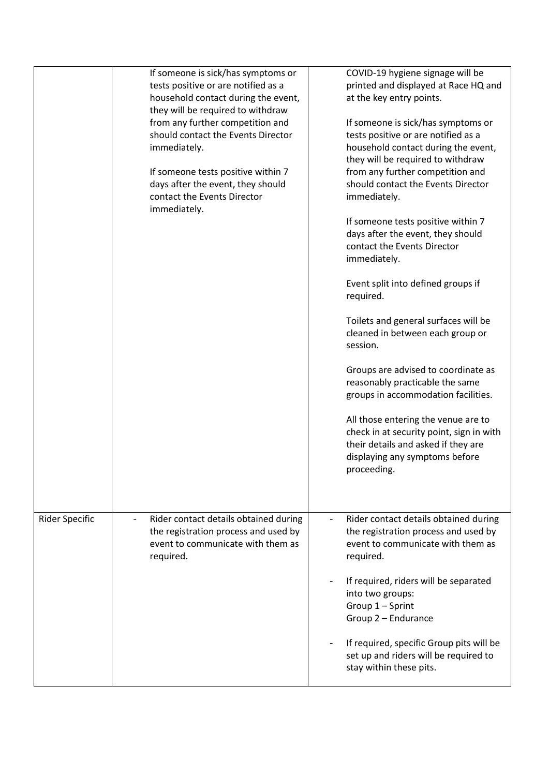|                       | If someone is sick/has symptoms or<br>tests positive or are notified as a<br>household contact during the event,<br>they will be required to withdraw<br>from any further competition and<br>should contact the Events Director<br>immediately.<br>If someone tests positive within 7<br>days after the event, they should<br>contact the Events Director<br>immediately. | COVID-19 hygiene signage will be<br>printed and displayed at Race HQ and<br>at the key entry points.<br>If someone is sick/has symptoms or<br>tests positive or are notified as a<br>household contact during the event,<br>they will be required to withdraw<br>from any further competition and<br>should contact the Events Director<br>immediately.<br>If someone tests positive within 7<br>days after the event, they should<br>contact the Events Director<br>immediately.<br>Event split into defined groups if<br>required. |
|-----------------------|---------------------------------------------------------------------------------------------------------------------------------------------------------------------------------------------------------------------------------------------------------------------------------------------------------------------------------------------------------------------------|--------------------------------------------------------------------------------------------------------------------------------------------------------------------------------------------------------------------------------------------------------------------------------------------------------------------------------------------------------------------------------------------------------------------------------------------------------------------------------------------------------------------------------------|
|                       |                                                                                                                                                                                                                                                                                                                                                                           | Toilets and general surfaces will be<br>cleaned in between each group or<br>session.<br>Groups are advised to coordinate as<br>reasonably practicable the same<br>groups in accommodation facilities.<br>All those entering the venue are to<br>check in at security point, sign in with<br>their details and asked if they are<br>displaying any symptoms before<br>proceeding.                                                                                                                                                     |
| <b>Rider Specific</b> | Rider contact details obtained during<br>the registration process and used by<br>event to communicate with them as<br>required.                                                                                                                                                                                                                                           | Rider contact details obtained during<br>the registration process and used by<br>event to communicate with them as<br>required.<br>If required, riders will be separated<br>into two groups:<br>Group 1 - Sprint<br>Group 2 - Endurance<br>If required, specific Group pits will be<br>set up and riders will be required to<br>stay within these pits.                                                                                                                                                                              |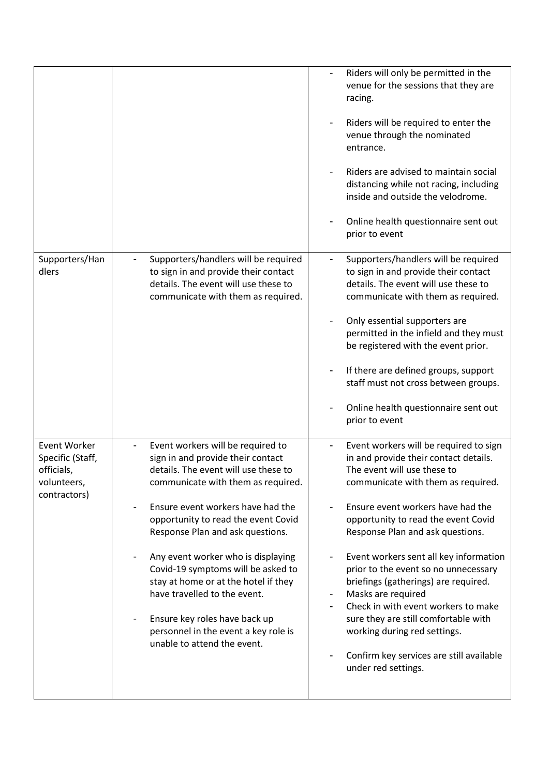|                                                                                      |                                                                                                                                                                                                                                                                                                                                                                                                                                                                                                                                  | Riders will only be permitted in the<br>venue for the sessions that they are<br>racing.<br>Riders will be required to enter the<br>venue through the nominated<br>entrance.<br>Riders are advised to maintain social<br>distancing while not racing, including<br>inside and outside the velodrome.<br>Online health questionnaire sent out<br>prior to event                                                                                                                                                                                                                                                            |
|--------------------------------------------------------------------------------------|----------------------------------------------------------------------------------------------------------------------------------------------------------------------------------------------------------------------------------------------------------------------------------------------------------------------------------------------------------------------------------------------------------------------------------------------------------------------------------------------------------------------------------|--------------------------------------------------------------------------------------------------------------------------------------------------------------------------------------------------------------------------------------------------------------------------------------------------------------------------------------------------------------------------------------------------------------------------------------------------------------------------------------------------------------------------------------------------------------------------------------------------------------------------|
| Supporters/Han<br>dlers                                                              | Supporters/handlers will be required<br>to sign in and provide their contact<br>details. The event will use these to<br>communicate with them as required.                                                                                                                                                                                                                                                                                                                                                                       | Supporters/handlers will be required<br>to sign in and provide their contact<br>details. The event will use these to<br>communicate with them as required.<br>Only essential supporters are<br>permitted in the infield and they must<br>be registered with the event prior.<br>If there are defined groups, support<br>staff must not cross between groups.<br>Online health questionnaire sent out<br>prior to event                                                                                                                                                                                                   |
| <b>Event Worker</b><br>Specific (Staff,<br>officials,<br>volunteers,<br>contractors) | Event workers will be required to<br>sign in and provide their contact<br>details. The event will use these to<br>communicate with them as required.<br>Ensure event workers have had the<br>opportunity to read the event Covid<br>Response Plan and ask questions.<br>Any event worker who is displaying<br>Covid-19 symptoms will be asked to<br>stay at home or at the hotel if they<br>have travelled to the event.<br>Ensure key roles have back up<br>personnel in the event a key role is<br>unable to attend the event. | Event workers will be required to sign<br>in and provide their contact details.<br>The event will use these to<br>communicate with them as required.<br>Ensure event workers have had the<br>opportunity to read the event Covid<br>Response Plan and ask questions.<br>Event workers sent all key information<br>prior to the event so no unnecessary<br>briefings (gatherings) are required.<br>Masks are required<br>$\blacksquare$<br>Check in with event workers to make<br>sure they are still comfortable with<br>working during red settings.<br>Confirm key services are still available<br>under red settings. |